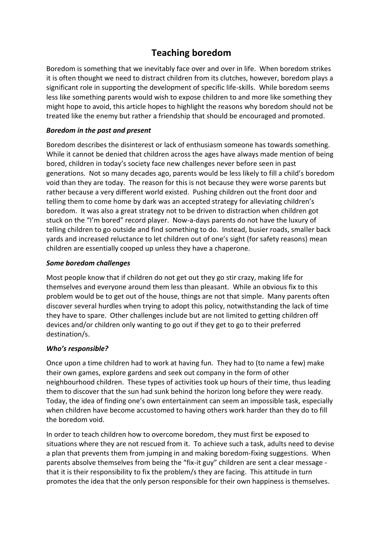# **Teaching boredom**

Boredom is something that we inevitably face over and over in life. When boredom strikes it is often thought we need to distract children from its clutches, however, boredom plays a significant role in supporting the development of specific life-skills. While boredom seems less like something parents would wish to expose children to and more like something they might hope to avoid, this article hopes to highlight the reasons why boredom should not be treated like the enemy but rather a friendship that should be encouraged and promoted.

## *Boredom in the past and present*

Boredom describes the disinterest or lack of enthusiasm someone has towards something. While it cannot be denied that children across the ages have always made mention of being bored, children in today's society face new challenges never before seen in past generations. Not so many decades ago, parents would be less likely to fill a child's boredom void than they are today. The reason for this is not because they were worse parents but rather because a very different world existed. Pushing children out the front door and telling them to come home by dark was an accepted strategy for alleviating children's boredom. It was also a great strategy not to be driven to distraction when children got stuck on the "I'm bored" record player. Now-a-days parents do not have the luxury of telling children to go outside and find something to do. Instead, busier roads, smaller back yards and increased reluctance to let children out of one's sight (for safety reasons) mean children are essentially cooped up unless they have a chaperone.

#### *Some boredom challenges*

Most people know that if children do not get out they go stir crazy, making life for themselves and everyone around them less than pleasant. While an obvious fix to this problem would be to get out of the house, things are not that simple. Many parents often discover several hurdles when trying to adopt this policy, notwithstanding the lack of time they have to spare. Other challenges include but are not limited to getting children off devices and/or children only wanting to go out if they get to go to their preferred destination/s.

# *Who's responsible?*

Once upon a time children had to work at having fun. They had to (to name a few) make their own games, explore gardens and seek out company in the form of other neighbourhood children. These types of activities took up hours of their time, thus leading them to discover that the sun had sunk behind the horizon long before they were ready. Today, the idea of finding one's own entertainment can seem an impossible task, especially when children have become accustomed to having others work harder than they do to fill the boredom void.

In order to teach children how to overcome boredom, they must first be exposed to situations where they are not rescued from it. To achieve such a task, adults need to devise a plan that prevents them from jumping in and making boredom-fixing suggestions. When parents absolve themselves from being the "fix-it guy" children are sent a clear message that it is their responsibility to fix the problem/s they are facing. This attitude in turn promotes the idea that the only person responsible for their own happiness is themselves.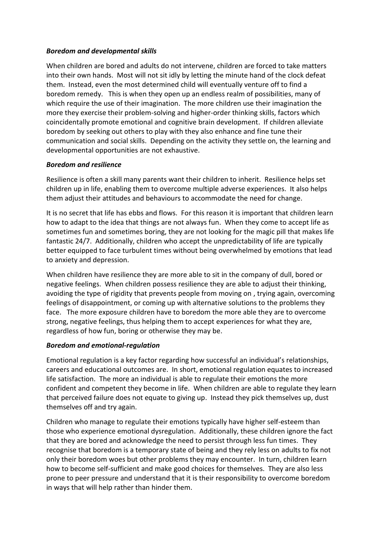# *Boredom and developmental skills*

When children are bored and adults do not intervene, children are forced to take matters into their own hands. Most will not sit idly by letting the minute hand of the clock defeat them. Instead, even the most determined child will eventually venture off to find a boredom remedy. This is when they open up an endless realm of possibilities, many of which require the use of their imagination. The more children use their imagination the more they exercise their problem-solving and higher-order thinking skills, factors which coincidentally promote emotional and cognitive brain development. If children alleviate boredom by seeking out others to play with they also enhance and fine tune their communication and social skills. Depending on the activity they settle on, the learning and developmental opportunities are not exhaustive.

#### *Boredom and resilience*

Resilience is often a skill many parents want their children to inherit. Resilience helps set children up in life, enabling them to overcome multiple adverse experiences. It also helps them adjust their attitudes and behaviours to accommodate the need for change.

It is no secret that life has ebbs and flows. For this reason it is important that children learn how to adapt to the idea that things are not always fun. When they come to accept life as sometimes fun and sometimes boring, they are not looking for the magic pill that makes life fantastic 24/7. Additionally, children who accept the unpredictability of life are typically better equipped to face turbulent times without being overwhelmed by emotions that lead to anxiety and depression.

When children have resilience they are more able to sit in the company of dull, bored or negative feelings. When children possess resilience they are able to adjust their thinking, avoiding the type of rigidity that prevents people from moving on , trying again, overcoming feelings of disappointment, or coming up with alternative solutions to the problems they face. The more exposure children have to boredom the more able they are to overcome strong, negative feelings, thus helping them to accept experiences for what they are, regardless of how fun, boring or otherwise they may be.

#### *Boredom and emotional-regulation*

Emotional regulation is a key factor regarding how successful an individual's relationships, careers and educational outcomes are. In short, emotional regulation equates to increased life satisfaction. The more an individual is able to regulate their emotions the more confident and competent they become in life. When children are able to regulate they learn that perceived failure does not equate to giving up. Instead they pick themselves up, dust themselves off and try again.

Children who manage to regulate their emotions typically have higher self-esteem than those who experience emotional dysregulation. Additionally, these children ignore the fact that they are bored and acknowledge the need to persist through less fun times. They recognise that boredom is a temporary state of being and they rely less on adults to fix not only their boredom woes but other problems they may encounter. In turn, children learn how to become self-sufficient and make good choices for themselves. They are also less prone to peer pressure and understand that it is their responsibility to overcome boredom in ways that will help rather than hinder them.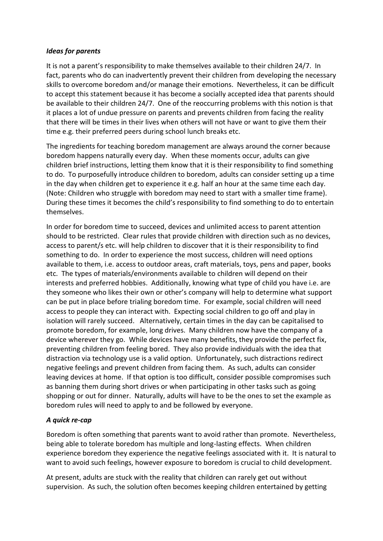#### *Ideas for parents*

It is not a parent's responsibility to make themselves available to their children 24/7. In fact, parents who do can inadvertently prevent their children from developing the necessary skills to overcome boredom and/or manage their emotions. Nevertheless, it can be difficult to accept this statement because it has become a socially accepted idea that parents should be available to their children 24/7. One of the reoccurring problems with this notion is that it places a lot of undue pressure on parents and prevents children from facing the reality that there will be times in their lives when others will not have or want to give them their time e.g. their preferred peers during school lunch breaks etc.

The ingredients for teaching boredom management are always around the corner because boredom happens naturally every day. When these moments occur, adults can give children brief instructions, letting them know that it is their responsibility to find something to do. To purposefully introduce children to boredom, adults can consider setting up a time in the day when children get to experience it e.g. half an hour at the same time each day. (Note: Children who struggle with boredom may need to start with a smaller time frame). During these times it becomes the child's responsibility to find something to do to entertain themselves.

In order for boredom time to succeed, devices and unlimited access to parent attention should to be restricted. Clear rules that provide children with direction such as no devices, access to parent/s etc. will help children to discover that it is their responsibility to find something to do. In order to experience the most success, children will need options available to them, i.e. access to outdoor areas, craft materials, toys, pens and paper, books etc. The types of materials/environments available to children will depend on their interests and preferred hobbies. Additionally, knowing what type of child you have i.e. are they someone who likes their own or other's company will help to determine what support can be put in place before trialing boredom time. For example, social children will need access to people they can interact with. Expecting social children to go off and play in isolation will rarely succeed. Alternatively, certain times in the day can be capitalised to promote boredom, for example, long drives. Many children now have the company of a device wherever they go. While devices have many benefits, they provide the perfect fix, preventing children from feeling bored. They also provide individuals with the idea that distraction via technology use is a valid option. Unfortunately, such distractions redirect negative feelings and prevent children from facing them. As such, adults can consider leaving devices at home. If that option is too difficult, consider possible compromises such as banning them during short drives or when participating in other tasks such as going shopping or out for dinner. Naturally, adults will have to be the ones to set the example as boredom rules will need to apply to and be followed by everyone.

# *A quick re-cap*

Boredom is often something that parents want to avoid rather than promote. Nevertheless, being able to tolerate boredom has multiple and long-lasting effects. When children experience boredom they experience the negative feelings associated with it. It is natural to want to avoid such feelings, however exposure to boredom is crucial to child development.

At present, adults are stuck with the reality that children can rarely get out without supervision. As such, the solution often becomes keeping children entertained by getting